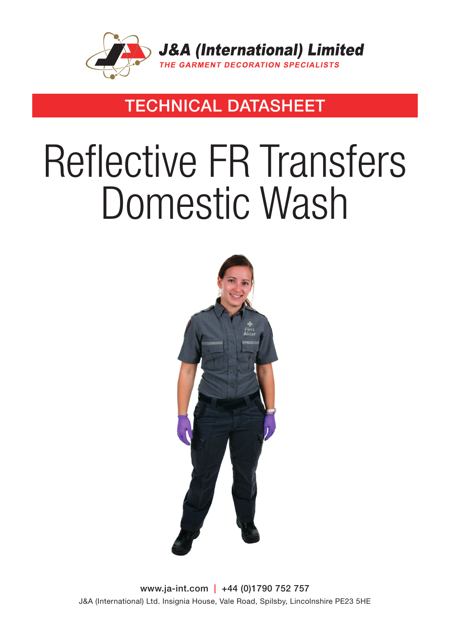

### TECHNICAL DATASHEET

# Reflective FR Transfers Domestic Wash



www.ja-int.com | +44 (0)1790 752 757 J&A (International) Ltd. Insignia House, Vale Road, Spilsby, Lincolnshire PE23 5HE